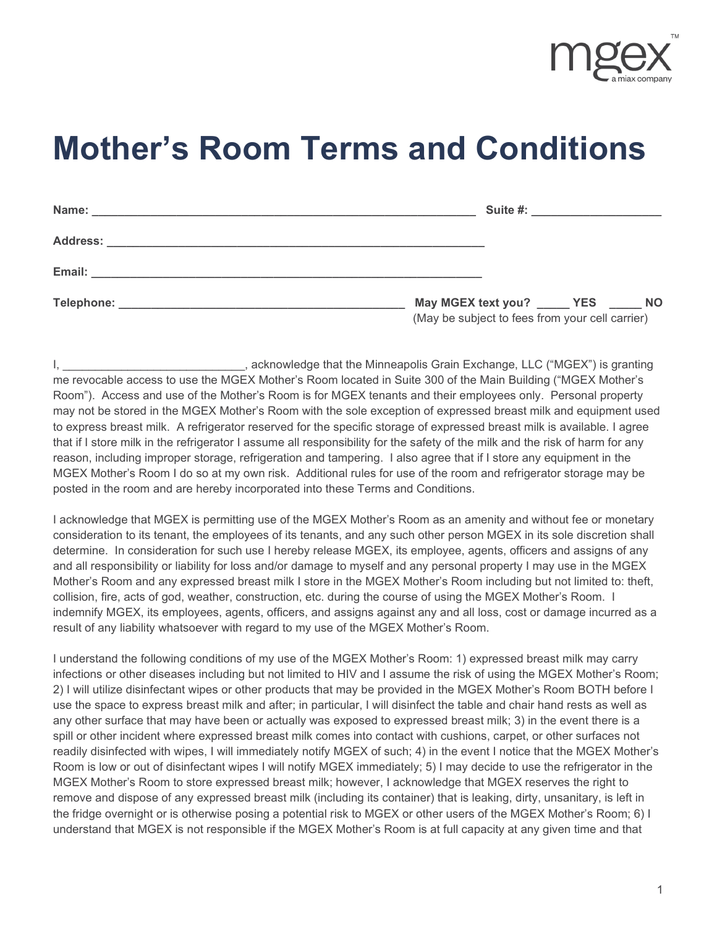

## **Mother's Room Terms and Conditions**

|                                                                                          | Suite #: ________________________ |  |
|------------------------------------------------------------------------------------------|-----------------------------------|--|
|                                                                                          |                                   |  |
|                                                                                          |                                   |  |
| May MGEX text you? _____ YES _____ NO<br>(May be subject to fees from your cell carrier) |                                   |  |

I, Lacknowledge that the Minneapolis Grain Exchange, LLC ("MGEX") is granting in the Minneapolis Grain Exchange, LLC ("MGEX") is granting me revocable access to use the MGEX Mother's Room located in Suite 300 of the Main Building ("MGEX Mother's Room"). Access and use of the Mother's Room is for MGEX tenants and their employees only. Personal property may not be stored in the MGEX Mother's Room with the sole exception of expressed breast milk and equipment used to express breast milk. A refrigerator reserved for the specific storage of expressed breast milk is available. I agree that if I store milk in the refrigerator I assume all responsibility for the safety of the milk and the risk of harm for any reason, including improper storage, refrigeration and tampering. I also agree that if I store any equipment in the MGEX Mother's Room I do so at my own risk. Additional rules for use of the room and refrigerator storage may be posted in the room and are hereby incorporated into these Terms and Conditions.

I acknowledge that MGEX is permitting use of the MGEX Mother's Room as an amenity and without fee or monetary consideration to its tenant, the employees of its tenants, and any such other person MGEX in its sole discretion shall determine. In consideration for such use I hereby release MGEX, its employee, agents, officers and assigns of any and all responsibility or liability for loss and/or damage to myself and any personal property I may use in the MGEX Mother's Room and any expressed breast milk I store in the MGEX Mother's Room including but not limited to: theft, collision, fire, acts of god, weather, construction, etc. during the course of using the MGEX Mother's Room. I indemnify MGEX, its employees, agents, officers, and assigns against any and all loss, cost or damage incurred as a result of any liability whatsoever with regard to my use of the MGEX Mother's Room.

I understand the following conditions of my use of the MGEX Mother's Room: 1) expressed breast milk may carry infections or other diseases including but not limited to HIV and I assume the risk of using the MGEX Mother's Room; 2) I will utilize disinfectant wipes or other products that may be provided in the MGEX Mother's Room BOTH before I use the space to express breast milk and after; in particular, I will disinfect the table and chair hand rests as well as any other surface that may have been or actually was exposed to expressed breast milk; 3) in the event there is a spill or other incident where expressed breast milk comes into contact with cushions, carpet, or other surfaces not readily disinfected with wipes, I will immediately notify MGEX of such; 4) in the event I notice that the MGEX Mother's Room is low or out of disinfectant wipes I will notify MGEX immediately; 5) I may decide to use the refrigerator in the MGEX Mother's Room to store expressed breast milk; however, I acknowledge that MGEX reserves the right to remove and dispose of any expressed breast milk (including its container) that is leaking, dirty, unsanitary, is left in the fridge overnight or is otherwise posing a potential risk to MGEX or other users of the MGEX Mother's Room; 6) I understand that MGEX is not responsible if the MGEX Mother's Room is at full capacity at any given time and that